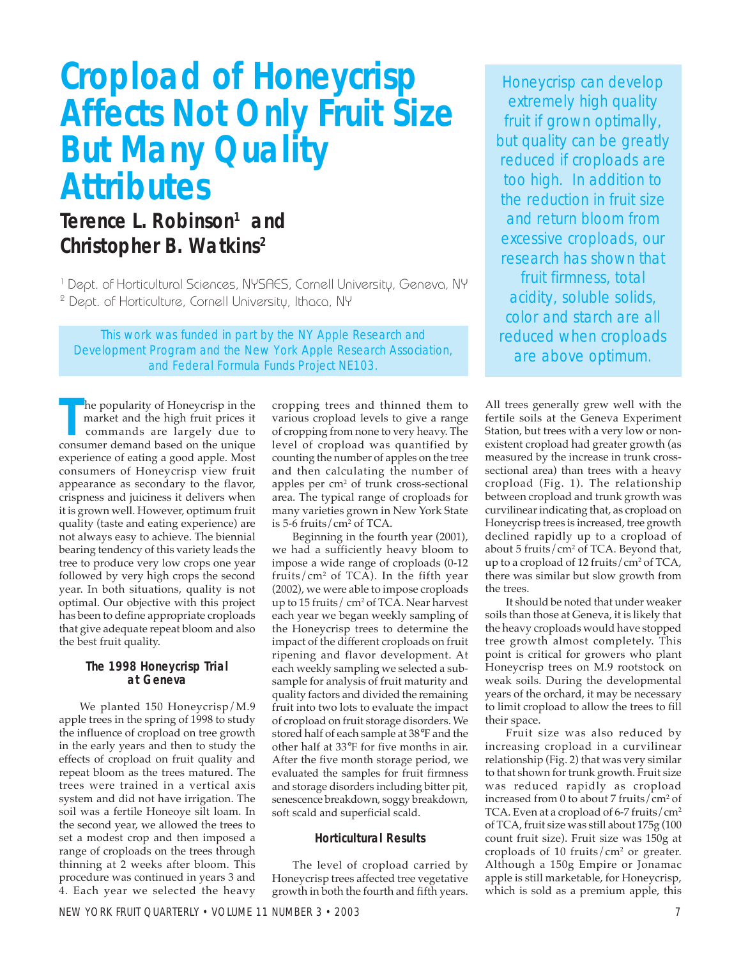# **Cropload of Honeycrisp Affects Not Only Fruit Size But Many Quality Attributes**

# Terence L. Robinson<sup>1</sup> and **Christopher B. Watkins2**

<sup>1</sup> Dept. of Horticultural Sciences, NYSAES, Cornell University, Geneva, NY 2 Dept. of Horticulture, Cornell University, Ithaca, NY

This work was funded in part by the NY Apple Research and Development Program and the New York Apple Research Association, and Federal Formula Funds Project NE103.

**THE EXECUTE 15 THE UP OF THE UP THE UP THE UP THE UP THE UP THE UP THE UP THE UP THE UP THE UP THE UP THE UP THE UP THE UP THE UP THE UP THE UP THE UP THE UP THE UP THE UP THE UP THE UP THE UP THE UP THE UP THE UP THE UP** he popularity of Honeycrisp in the market and the high fruit prices it commands are largely due to experience of eating a good apple. Most consumers of Honeycrisp view fruit appearance as secondary to the flavor, crispness and juiciness it delivers when it is grown well. However, optimum fruit quality (taste and eating experience) are not always easy to achieve. The biennial bearing tendency of this variety leads the tree to produce very low crops one year followed by very high crops the second year. In both situations, quality is not optimal. Our objective with this project has been to define appropriate croploads that give adequate repeat bloom and also the best fruit quality.

# **The 1998 Honeycrisp Trial at Geneva**

We planted 150 Honeycrisp/M.9 apple trees in the spring of 1998 to study the influence of cropload on tree growth in the early years and then to study the effects of cropload on fruit quality and repeat bloom as the trees matured. The trees were trained in a vertical axis system and did not have irrigation. The soil was a fertile Honeoye silt loam. In the second year, we allowed the trees to set a modest crop and then imposed a range of croploads on the trees through thinning at 2 weeks after bloom. This procedure was continued in years 3 and 4. Each year we selected the heavy

cropping trees and thinned them to various cropload levels to give a range of cropping from none to very heavy. The level of cropload was quantified by counting the number of apples on the tree and then calculating the number of apples per cm2 of trunk cross-sectional area. The typical range of croploads for many varieties grown in New York State is 5-6 fruits/cm2 of TCA.

Beginning in the fourth year (2001), we had a sufficiently heavy bloom to impose a wide range of croploads (0-12 fruits/ $\text{cm}^2$  of TCA). In the fifth year (2002), we were able to impose croploads up to 15 fruits/ $cm<sup>2</sup>$  of TCA. Near harvest each year we began weekly sampling of the Honeycrisp trees to determine the impact of the different croploads on fruit ripening and flavor development. At each weekly sampling we selected a subsample for analysis of fruit maturity and quality factors and divided the remaining fruit into two lots to evaluate the impact of cropload on fruit storage disorders. We stored half of each sample at 38°F and the other half at 33°F for five months in air. After the five month storage period, we evaluated the samples for fruit firmness and storage disorders including bitter pit, senescence breakdown, soggy breakdown, soft scald and superficial scald.

# **Horticultural Results**

The level of cropload carried by Honeycrisp trees affected tree vegetative growth in both the fourth and fifth years.

Honeycrisp can develop extremely high quality fruit if grown optimally, but quality can be greatly reduced if croploads are too high. In addition to the reduction in fruit size and return bloom from excessive croploads, our research has shown that fruit firmness, total acidity, soluble solids, color and starch are all reduced when croploads are above optimum.

All trees generally grew well with the fertile soils at the Geneva Experiment Station, but trees with a very low or nonexistent cropload had greater growth (as measured by the increase in trunk crosssectional area) than trees with a heavy cropload (Fig. 1). The relationship between cropload and trunk growth was curvilinear indicating that, as cropload on Honeycrisp trees is increased, tree growth declined rapidly up to a cropload of about 5 fruits/cm2 of TCA. Beyond that, up to a cropload of 12 fruits/ $\rm cm^2$  of TCA, there was similar but slow growth from the trees.

It should be noted that under weaker soils than those at Geneva, it is likely that the heavy croploads would have stopped tree growth almost completely. This point is critical for growers who plant Honeycrisp trees on M.9 rootstock on weak soils. During the developmental years of the orchard, it may be necessary to limit cropload to allow the trees to fill their space.

Fruit size was also reduced by increasing cropload in a curvilinear relationship (Fig. 2) that was very similar to that shown for trunk growth. Fruit size was reduced rapidly as cropload increased from 0 to about 7 fruits/cm2 of TCA. Even at a cropload of 6-7 fruits/cm<sup>2</sup> of TCA, fruit size was still about 175g (100 count fruit size). Fruit size was 150g at croploads of 10 fruits/ $\text{cm}^2$  or greater. Although a 150g Empire or Jonamac apple is still marketable, for Honeycrisp, which is sold as a premium apple, this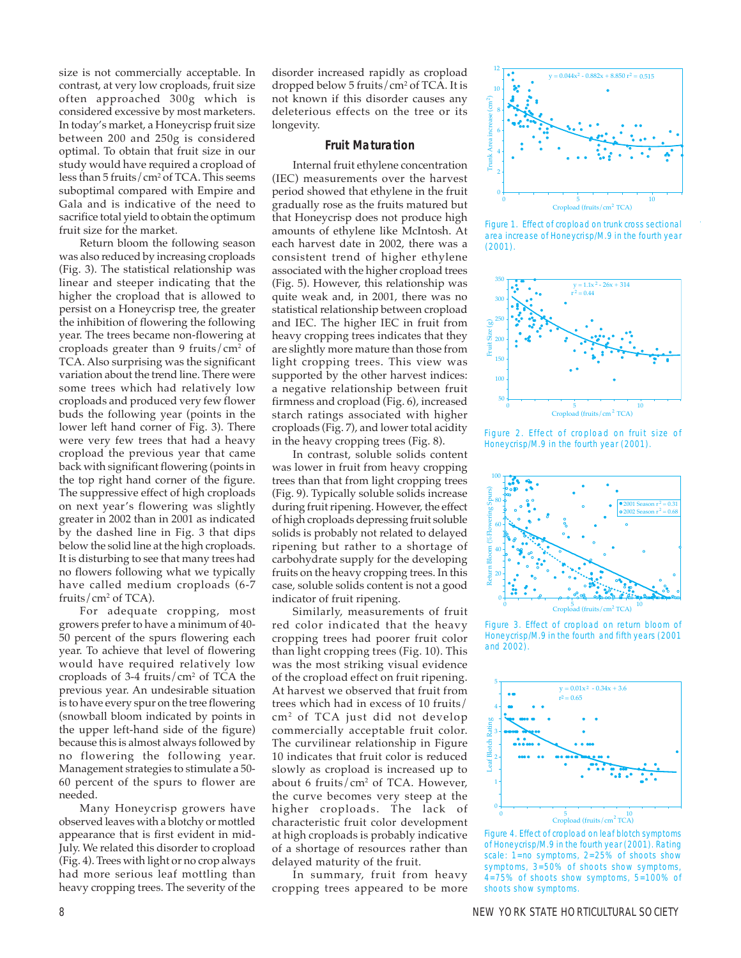size is not commercially acceptable. In contrast, at very low croploads, fruit size often approached 300g which is considered excessive by most marketers. In today's market, a Honeycrisp fruit size between 200 and 250g is considered optimal. To obtain that fruit size in our study would have required a cropload of less than 5 fruits/cm2 of TCA. This seems suboptimal compared with Empire and Gala and is indicative of the need to sacrifice total yield to obtain the optimum fruit size for the market.

Return bloom the following season was also reduced by increasing croploads (Fig. 3). The statistical relationship was linear and steeper indicating that the higher the cropload that is allowed to persist on a Honeycrisp tree, the greater the inhibition of flowering the following year. The trees became non-flowering at croploads greater than 9 fruits/ $\text{cm}^2$  of TCA. Also surprising was the significant variation about the trend line. There were some trees which had relatively low croploads and produced very few flower buds the following year (points in the lower left hand corner of Fig. 3). There were very few trees that had a heavy cropload the previous year that came back with significant flowering (points in the top right hand corner of the figure. The suppressive effect of high croploads on next year's flowering was slightly greater in 2002 than in 2001 as indicated by the dashed line in Fig. 3 that dips below the solid line at the high croploads. It is disturbing to see that many trees had no flowers following what we typically have called medium croploads (6-7 fruits/cm2 of TCA).

For adequate cropping, most growers prefer to have a minimum of 40- 50 percent of the spurs flowering each year. To achieve that level of flowering would have required relatively low croploads of 3-4 fruits/ $\text{cm}^2$  of TCA the previous year. An undesirable situation is to have every spur on the tree flowering (snowball bloom indicated by points in the upper left-hand side of the figure) because this is almost always followed by no flowering the following year. Management strategies to stimulate a 50- 60 percent of the spurs to flower are needed.

Many Honeycrisp growers have observed leaves with a blotchy or mottled appearance that is first evident in mid-July. We related this disorder to cropload (Fig. 4). Trees with light or no crop always had more serious leaf mottling than heavy cropping trees. The severity of the disorder increased rapidly as cropload dropped below 5 fruits/cm2 of TCA. It is not known if this disorder causes any deleterious effects on the tree or its longevity.

#### **Fruit Maturation**

Internal fruit ethylene concentration (IEC) measurements over the harvest period showed that ethylene in the fruit gradually rose as the fruits matured but that Honeycrisp does not produce high amounts of ethylene like McIntosh. At each harvest date in 2002, there was a consistent trend of higher ethylene associated with the higher cropload trees (Fig. 5). However, this relationship was quite weak and, in 2001, there was no statistical relationship between cropload and IEC. The higher IEC in fruit from heavy cropping trees indicates that they are slightly more mature than those from light cropping trees. This view was supported by the other harvest indices: a negative relationship between fruit firmness and cropload (Fig. 6), increased starch ratings associated with higher croploads (Fig. 7), and lower total acidity in the heavy cropping trees (Fig. 8).

In contrast, soluble solids content was lower in fruit from heavy cropping trees than that from light cropping trees (Fig. 9). Typically soluble solids increase during fruit ripening. However, the effect of high croploads depressing fruit soluble solids is probably not related to delayed ripening but rather to a shortage of carbohydrate supply for the developing fruits on the heavy cropping trees. In this case, soluble solids content is not a good indicator of fruit ripening.

Similarly, measurements of fruit red color indicated that the heavy cropping trees had poorer fruit color than light cropping trees (Fig. 10). This was the most striking visual evidence of the cropload effect on fruit ripening. At harvest we observed that fruit from trees which had in excess of 10 fruits/ cm2 of TCA just did not develop commercially acceptable fruit color. The curvilinear relationship in Figure 10 indicates that fruit color is reduced slowly as cropload is increased up to about 6 fruits/ $\text{cm}^2$  of TCA. However, the curve becomes very steep at the higher croploads. The lack of characteristic fruit color development at high croploads is probably indicative of a shortage of resources rather than delayed maturity of the fruit.

In summary, fruit from heavy cropping trees appeared to be more



Figure 1. Effect of cropload on trunk cross sectional area increase of Honeycrisp/M.9 in the fourth year (2001).



Figure 2. Effect of cropload on fruit size of Honeycrisp/M.9 in the fourth year (2001).



Figure 3. Effect of cropload on return bloom of Honeycrisp/M.9 in the fourth and fifth years (2001 and 2002).



Figure 4. Effect of cropload on leaf blotch symptoms of Honeycrisp/M.9 in the fourth year (2001). Rating scale: 1=no symptoms, 2=25% of shoots show symptoms, 3=50% of shoots show symptoms, 4=75% of shoots show symptoms, 5=100% of shoots show symptoms.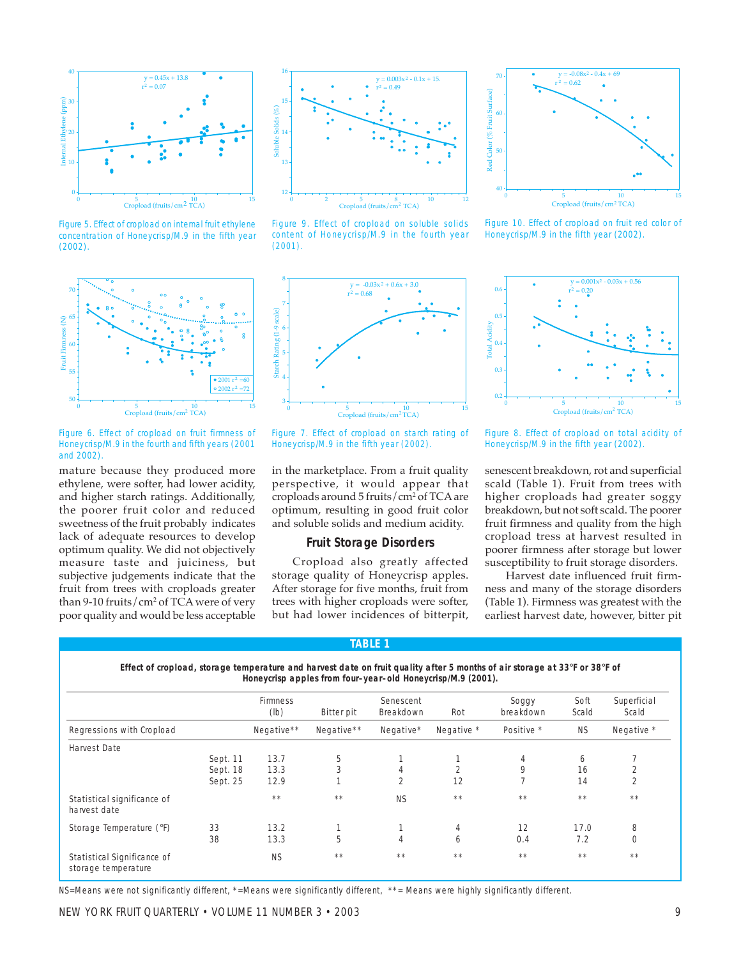

Figure 5. Effect of cropload on internal fruit ethylene concentration of Honeycrisp/M.9 in the fifth year (2002).



Figure 9. Effect of cropload on soluble solids content of Honeycrisp/M.9 in the fourth year (2001).



Figure 10. Effect of cropload on fruit red color of Honeycrisp/M.9 in the fifth year (2002).



Figure 6. Effect of cropload on fruit firmness of Honeycrisp/M.9 in the fourth and fifth years (2001 and 2002).

mature because they produced more ethylene, were softer, had lower acidity, and higher starch ratings. Additionally, the poorer fruit color and reduced sweetness of the fruit probably indicates lack of adequate resources to develop optimum quality. We did not objectively measure taste and juiciness, but subjective judgements indicate that the fruit from trees with croploads greater than 9-10 fruits/ $\rm cm^2$  of TCA were of very poor quality and would be less acceptable



Figure 7. Effect of cropload on starch rating of Honeycrisp/M.9 in the fifth year (2002).

in the marketplace. From a fruit quality perspective, it would appear that croploads around 5 fruits/cm2 of TCA are optimum, resulting in good fruit color and soluble solids and medium acidity.

### **Fruit Storage Disorders**

Cropload also greatly affected storage quality of Honeycrisp apples. After storage for five months, fruit from trees with higher croploads were softer, but had lower incidences of bitterpit,

**TABLE 1**



Figure 8. Effect of cropload on total acidity of Honeycrisp/M.9 in the fifth year (2002).

senescent breakdown, rot and superficial scald (Table 1). Fruit from trees with higher croploads had greater soggy breakdown, but not soft scald. The poorer fruit firmness and quality from the high cropload tress at harvest resulted in poorer firmness after storage but lower susceptibility to fruit storage disorders.

Harvest date influenced fruit firmness and many of the storage disorders (Table 1). Firmness was greatest with the earliest harvest date, however, bitter pit

|                                                    |          | <b>Firmness</b><br>(lb) | Bitter pit | Senescent<br>Breakdown | Rot            | Soggy<br>breakdown | Soft<br>Scald | Superficial<br>Scald |
|----------------------------------------------------|----------|-------------------------|------------|------------------------|----------------|--------------------|---------------|----------------------|
| Regressions with Cropload                          |          | Negative**              | Negative** | Negative*              | Negative *     | Positive *         | <b>NS</b>     | Negative *           |
| <b>Harvest Date</b>                                |          |                         |            |                        |                |                    |               |                      |
|                                                    | Sept. 11 | 13.7                    | 5          |                        |                | 4                  | 6             |                      |
|                                                    | Sept. 18 | 13.3                    | 3          | 4                      | $\overline{2}$ | 9                  | 16            | 2                    |
|                                                    | Sept. 25 | 12.9                    |            | 2                      | 12             |                    | 14            | $\overline{2}$       |
| Statistical significance of<br>harvest date        |          | $* *$                   | $* *$      | <b>NS</b>              | $* *$          | $* *$              | $* *$         | $* *$                |
| Storage Temperature (°F)                           | 33       | 13.2                    |            |                        | 4              | 12                 | 17.0          | 8                    |
|                                                    | 38       | 13.3                    | 5          | 4                      | 6              | 0.4                | 7.2           | $\Omega$             |
| Statistical Significance of<br>storage temperature |          | <b>NS</b>               | $* *$      | $* *$                  | $* *$          | $* *$              | $* *$         | $* *$                |

NS=Means were not significantly different, \*=Means were significantly different, \*\*= Means were highly significantly different.